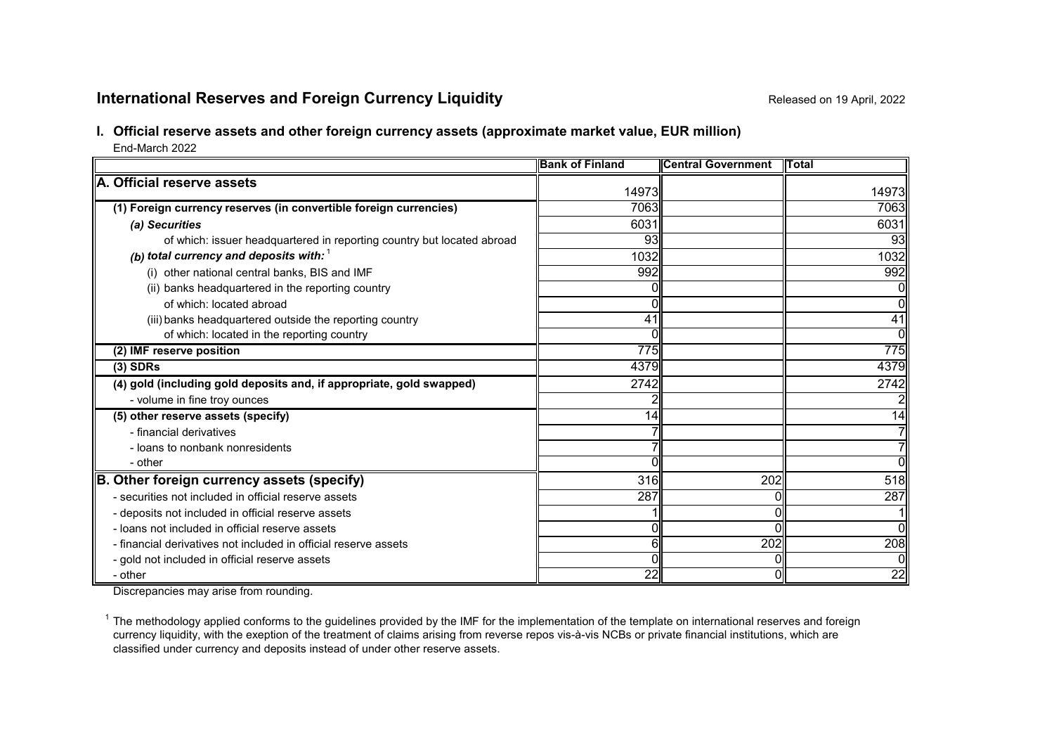# **International Reserves and Foreign Currency Liquidity Released on 19 April, 2022** Released on 19 April, 2022

# **I. Official reserve assets and other foreign currency assets (approximate market value, EUR million)**

End-March 2022

|                                                                        | <b>Bank of Finland</b> | <b>Central Government</b> | <b>IT</b> otal |
|------------------------------------------------------------------------|------------------------|---------------------------|----------------|
| A. Official reserve assets                                             | 14973                  |                           |                |
|                                                                        |                        |                           | 14973          |
| (1) Foreign currency reserves (in convertible foreign currencies)      | 7063                   |                           | 7063           |
| (a) Securities                                                         | 6031                   |                           | 6031           |
| of which: issuer headquartered in reporting country but located abroad | 93                     |                           | 93             |
| (b) total currency and deposits with: $1$                              | 1032                   |                           | 1032           |
| (i) other national central banks, BIS and IMF                          | 992                    |                           | 992            |
| (ii) banks headquartered in the reporting country                      |                        |                           |                |
| of which: located abroad                                               |                        |                           | Οl             |
| (iii) banks headquartered outside the reporting country                | 41                     |                           | 41             |
| of which: located in the reporting country                             |                        |                           | Οl             |
| (2) IMF reserve position                                               | 775                    |                           | 775            |
| $(3)$ SDRs                                                             | 4379                   |                           | 4379           |
| (4) gold (including gold deposits and, if appropriate, gold swapped)   | 2742                   |                           | 2742           |
| - volume in fine troy ounces                                           |                        |                           |                |
| (5) other reserve assets (specify)                                     | 14                     |                           | 14             |
| - financial derivatives                                                |                        |                           | 71             |
| - loans to nonbank nonresidents                                        |                        |                           | 71             |
| - other                                                                |                        |                           | ΩI             |
| B. Other foreign currency assets (specify)                             | 316                    | 202                       | 518            |
| - securities not included in official reserve assets                   | 287                    |                           | 287            |
| - deposits not included in official reserve assets                     |                        |                           |                |
| - loans not included in official reserve assets                        |                        |                           | Οl             |
| - financial derivatives not included in official reserve assets        | 61                     | $\overline{202}$          | 208            |
| - gold not included in official reserve assets                         |                        |                           | Οl             |
| - other                                                                | 22                     |                           | 22             |

Discrepancies may arise from rounding.

 $1$  The methodology applied conforms to the guidelines provided by the IMF for the implementation of the template on international reserves and foreign currency liquidity, with the exeption of the treatment of claims arising from reverse repos vis-à-vis NCBs or private financial institutions, which are classified under currency and deposits instead of under other reserve assets.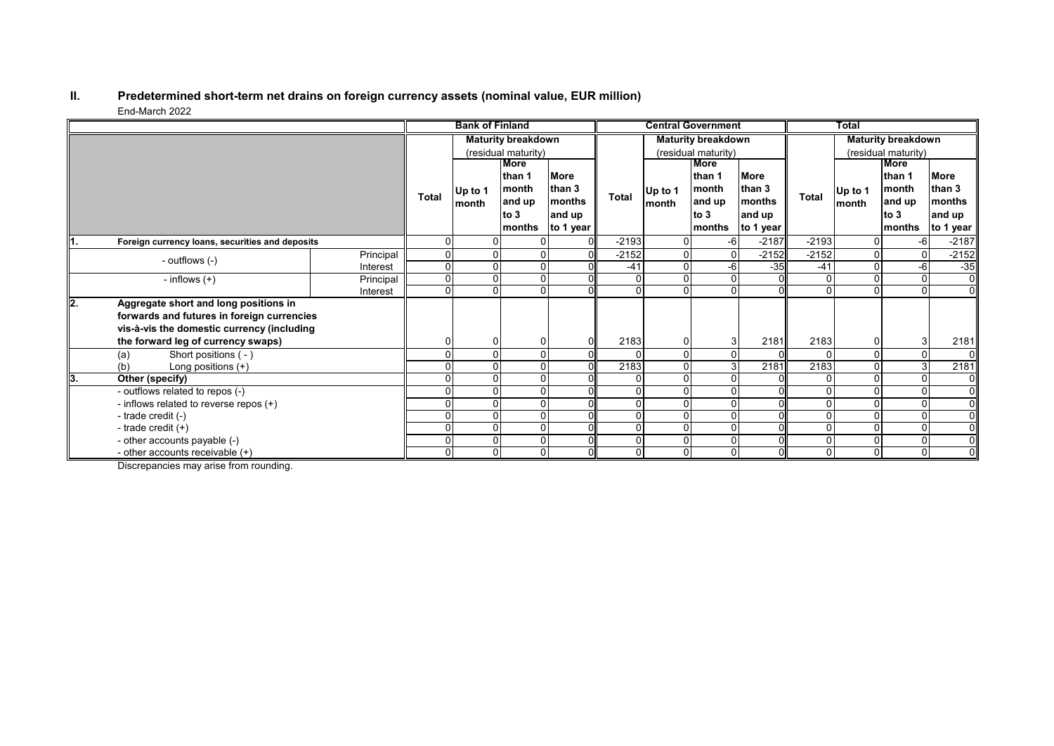#### **II. Predetermined short-term net drains on foreign currency assets (nominal value, EUR million)** End-March 2022

|      |                                                 |           |              | <b>Bank of Finland</b> |                           |               |         |          | <b>Central Government</b> |             |              | <b>Total</b>   |                           |                |
|------|-------------------------------------------------|-----------|--------------|------------------------|---------------------------|---------------|---------|----------|---------------------------|-------------|--------------|----------------|---------------------------|----------------|
|      |                                                 |           |              |                        | <b>Maturity breakdown</b> |               |         |          | <b>Maturity breakdown</b> |             |              |                | <b>Maturity breakdown</b> |                |
|      |                                                 |           |              |                        | (residual maturity)       |               |         |          | (residual maturity)       |             |              |                | (residual maturity)       |                |
|      |                                                 |           |              |                        | More                      |               |         |          | <b>More</b>               |             |              |                | More                      |                |
|      |                                                 |           |              |                        | lthan 1                   | <b>More</b>   |         |          | than 1                    | <b>More</b> |              |                | than 1                    | <b>More</b>    |
|      |                                                 |           | <b>Total</b> | Up to 1                | month                     | than 3        | Total   | Up to 1  | month                     | than 3      | <b>Total</b> | Up to 1        | month                     | than 3         |
|      |                                                 |           |              | month                  | and up                    | <b>months</b> |         | month    | and up                    | months      |              | month          | and up                    | months         |
|      |                                                 |           |              |                        | to $3$                    | and up        |         |          | to $3$                    | and up      |              |                | to $3$                    | and up         |
|      |                                                 |           |              |                        | months                    | to 1 year     |         |          | months                    | to 1 year   |              |                | months                    | to 1 year      |
| ll1. | Foreign currency loans, securities and deposits |           | ŋ            |                        |                           | $\Omega$      | $-2193$ |          | -61                       | $-2187$     | $-2193$      | 0              | $-6$                      | $-2187$        |
|      | - outflows (-)                                  | Principal | 0            |                        |                           |               | $-2152$ |          | 0                         | $-2152$     | $-2152$      | 0              | $\mathbf{0}$              | $-2152$        |
|      |                                                 | Interest  | 0            |                        |                           |               | $-41$   |          | -6                        | $-35$       | $-41$        | 0              | $-6$                      | $-35$          |
|      | - inflows $(+)$                                 | Principal | $\Omega$     |                        |                           |               |         |          |                           |             | $\Omega$     | 0              | $\mathbf{0}$              | $\overline{0}$ |
|      |                                                 | Interest  | 0            |                        |                           |               | U       |          |                           |             |              |                | $\Omega$                  | $\overline{0}$ |
| ll2. | Aggregate short and long positions in           |           |              |                        |                           |               |         |          |                           |             |              |                |                           |                |
|      | forwards and futures in foreign currencies      |           |              |                        |                           |               |         |          |                           |             |              |                |                           |                |
|      | vis-à-vis the domestic currency (including      |           |              |                        |                           |               |         |          |                           |             |              |                |                           |                |
|      | the forward leg of currency swaps)              |           |              |                        |                           |               | 2183    |          |                           | 2181        | 2183         | 0              |                           | 2181           |
|      | Short positions (-)<br>(a)                      |           |              |                        |                           | ΩI            |         |          |                           |             |              | $\Omega$       | $\Omega$                  | 01             |
|      | Long positions $(+)$<br>(b)                     |           |              |                        |                           |               | 2183    |          |                           | 2181        | 2183         | 0              | 3                         | 2181           |
| 13.  | Other (specify)                                 |           |              |                        |                           |               |         |          |                           |             |              |                |                           | $\overline{0}$ |
|      | - outflows related to repos (-)                 |           |              |                        |                           |               |         |          |                           |             |              |                | $\Omega$                  | $\overline{0}$ |
|      | - inflows related to reverse repos (+)          |           |              |                        |                           |               |         |          |                           |             |              |                |                           | $\overline{0}$ |
|      | - trade credit (-)                              |           |              |                        |                           |               |         |          |                           |             |              | 0              |                           | $\overline{0}$ |
|      | - trade credit $(+)$                            |           |              |                        |                           | ΩI            |         |          |                           |             | $\Omega$     | 0              | $\Omega$                  | $\overline{0}$ |
|      | - other accounts payable (-)                    |           |              |                        |                           |               |         |          |                           |             | $\mathbf{0}$ | $\Omega$       | $\Omega$                  | $\overline{0}$ |
|      | - other accounts receivable $(+)$               |           | 0            |                        | $\Omega$                  |               | 0       | $\Omega$ |                           |             | 0            | $\overline{0}$ | $\Omega$                  | $\overline{0}$ |

Discrepancies may arise from rounding.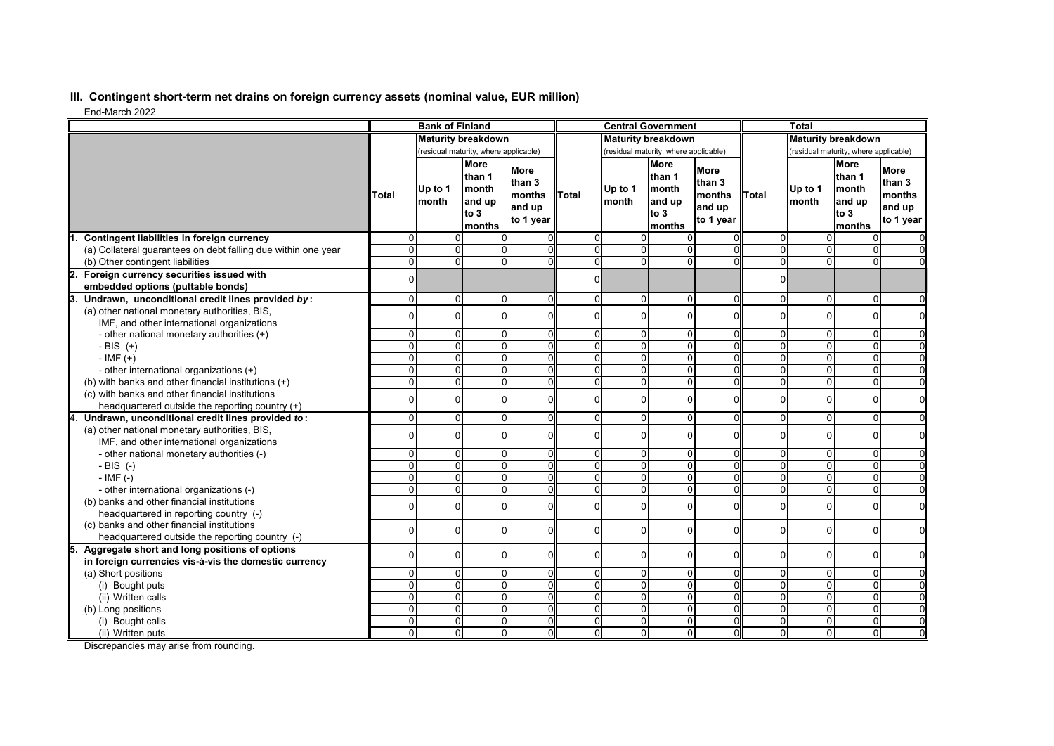## **III. Contingent short-term net drains on foreign currency assets (nominal value, EUR million)**

End-March 2022

|                                                                                       |                      | <b>Bank of Finland</b> |                                                              |                                                 |                                  |                     | <b>Central Government</b>                                  |                                                        |                     | <b>Total</b>              |                                                                    |                                                        |
|---------------------------------------------------------------------------------------|----------------------|------------------------|--------------------------------------------------------------|-------------------------------------------------|----------------------------------|---------------------|------------------------------------------------------------|--------------------------------------------------------|---------------------|---------------------------|--------------------------------------------------------------------|--------------------------------------------------------|
|                                                                                       |                      |                        | <b>Maturity breakdown</b>                                    |                                                 |                                  |                     | <b>Maturity breakdown</b>                                  |                                                        |                     | <b>Maturity breakdown</b> |                                                                    |                                                        |
|                                                                                       |                      |                        | (residual maturity, where applicable)                        |                                                 |                                  |                     | (residual maturity, where applicable)                      |                                                        |                     |                           | (residual maturity, where applicable)                              |                                                        |
|                                                                                       | Total                | Up to 1<br>Imonth      | <b>More</b><br>than 1<br>month<br>and up<br>to $3$<br>months | More<br>than 3<br>months<br>and up<br>to 1 year | Total                            | Up to 1<br>month    | <b>More</b><br>than 1<br>month<br>and up<br>to 3<br>months | <b>More</b><br>than 3<br>months<br>and up<br>to 1 year | <b>Total</b>        | Up to 1<br>Imonth         | <b>More</b><br>than 1<br><b>Imonth</b><br>and up<br>to 3<br>months | <b>More</b><br>than 3<br>months<br>and up<br>to 1 year |
| Contingent liabilities in foreign currency                                            | $\Omega$             |                        |                                                              |                                                 | $\Omega$                         | $\Omega$            |                                                            |                                                        | 0                   | $\Omega$                  | 0                                                                  |                                                        |
| (a) Collateral guarantees on debt falling due within one year                         | $\Omega$             | $\Omega$               | $\Omega$                                                     | ΩI                                              | $\Omega$                         | $\Omega$            | 0                                                          |                                                        | $\Omega$            | $\overline{0}$            | 0                                                                  |                                                        |
| (b) Other contingent liabilities                                                      | $\overline{0}$       | $\overline{0}$         | $\overline{0}$                                               |                                                 | $\overline{0}$                   | $\Omega$            | 0                                                          |                                                        | $\overline{0}$      | $\overline{0}$            | $\overline{0}$                                                     |                                                        |
| 2.<br>Foreign currency securities issued with                                         | $\Omega$             |                        |                                                              |                                                 | $\Omega$                         |                     |                                                            |                                                        | $\Omega$            |                           |                                                                    |                                                        |
| embedded options (puttable bonds)                                                     |                      |                        |                                                              |                                                 |                                  |                     |                                                            |                                                        |                     |                           |                                                                    |                                                        |
| Undrawn, unconditional credit lines provided by:                                      | $\Omega$             | $\Omega$               | $\Omega$                                                     | $\Omega$                                        | $\Omega$                         | $\mathbf{0}$        | $\Omega$                                                   | $\Omega$                                               | $\Omega$            | 0                         | 0                                                                  | $\Omega$                                               |
| (a) other national monetary authorities, BIS,                                         | $\Omega$             | $\Omega$               | $\Omega$                                                     | $\Omega$                                        | $\Omega$                         | $\Omega$            | 0                                                          | $\Omega$                                               | $\overline{0}$      | 0                         | 0                                                                  | $\Omega$                                               |
| IMF, and other international organizations                                            |                      |                        |                                                              |                                                 |                                  |                     |                                                            |                                                        |                     |                           |                                                                    |                                                        |
| - other national monetary authorities (+)                                             | $\Omega$             | $\Omega$               | $\Omega$                                                     | $\overline{0}$                                  | $\mathbf 0$                      | 0                   | 0                                                          | $\Omega$                                               | 0                   | $\overline{0}$            | 0                                                                  | $\Omega$                                               |
| - BIS $(+)$                                                                           | $\Omega$             | $\overline{0}$         | $\Omega$                                                     | $\Omega$                                        | $\overline{0}$                   | $\overline{0}$      | $\mathbf 0$                                                | $\Omega$                                               | $\overline{0}$      | $\overline{0}$            | $\overline{\mathsf{o}}$                                            | $\Omega$                                               |
| $-IMF (+)$                                                                            | $\Omega$             | $\Omega$               | $\Omega$                                                     | $\Omega$                                        | $\Omega$                         | $\Omega$            | $\Omega$                                                   | U                                                      | $\mathbf{0}$        | $\overline{0}$            | 0                                                                  | $\Omega$                                               |
| - other international organizations (+)                                               | $\Omega$             | $\Omega$               | $\Omega$                                                     | $\Omega$                                        | $\Omega$                         | $\Omega$            | 0                                                          | $\Omega$                                               | $\Omega$            | $\overline{0}$            | 0                                                                  | $\Omega$                                               |
| (b) with banks and other financial institutions (+)                                   | $\Omega$             | $\Omega$               | $\Omega$                                                     | $\Omega$                                        | $\overline{0}$                   | $\overline{0}$      | $\mathbf 0$                                                | $\overline{0}$                                         | $\overline{0}$      | $\overline{0}$            | 0                                                                  | $\Omega$                                               |
| (c) with banks and other financial institutions                                       | $\Omega$             | $\Omega$               | $\Omega$                                                     | $\Omega$                                        | $\Omega$                         | $\Omega$            | 0                                                          | $\Omega$                                               | $\Omega$            | 0                         | $\mathbf 0$                                                        | $\mathbf 0$                                            |
| headquartered outside the reporting country (+)                                       |                      |                        |                                                              |                                                 |                                  |                     |                                                            |                                                        |                     |                           |                                                                    |                                                        |
| Undrawn, unconditional credit lines provided to:                                      | $\Omega$             | $\Omega$               | $\Omega$                                                     | $\Omega$                                        | $\Omega$                         | $\Omega$            | $\Omega$                                                   | $\Omega$                                               | $\overline{0}$      | $\overline{0}$            | $\mathbf 0$                                                        | $\Omega$                                               |
| (a) other national monetary authorities, BIS,                                         | $\Omega$             | $\Omega$               | $\Omega$                                                     | $\Omega$                                        | $\Omega$                         | $\Omega$            | 0                                                          | $\Omega$                                               | $\Omega$            | $\Omega$                  | $\mathbf 0$                                                        | $\Omega$                                               |
| IMF, and other international organizations                                            |                      |                        |                                                              |                                                 |                                  |                     |                                                            |                                                        |                     |                           |                                                                    |                                                        |
| - other national monetary authorities (-)                                             | $\Omega$<br>$\Omega$ | $\Omega$<br>$\Omega$   | $\Omega$<br>$\Omega$                                         | $\overline{0}$<br>$\Omega$                      | $\overline{0}$<br>$\overline{0}$ | 0<br>$\overline{0}$ | 0<br>$\mathbf 0$                                           | 0                                                      | 0<br>$\overline{0}$ | 0<br>$\overline{0}$       | $\mathbf 0$<br>$\overline{0}$                                      | $\mathbf 0$                                            |
| $-BIS$ (-)                                                                            | $\Omega$             | $\Omega$               | $\Omega$                                                     | ΩI                                              | $\Omega$                         | $\Omega$            |                                                            | $\overline{0}$                                         | $\Omega$            | $\overline{0}$            |                                                                    | $\overline{0}$                                         |
| $-$ IMF $(-)$                                                                         | $\Omega$             | $\Omega$               | $\Omega$                                                     | $\Omega$                                        | $\overline{0}$                   | $\overline{0}$      | 0<br>0                                                     | 0                                                      | $\overline{0}$      | $\overline{0}$            | 0<br>$\overline{0}$                                                | $\mathbf 0$                                            |
| - other international organizations (-)<br>(b) banks and other financial institutions |                      |                        |                                                              |                                                 |                                  |                     |                                                            |                                                        |                     |                           |                                                                    |                                                        |
| headquartered in reporting country (-)                                                | $\Omega$             | $\Omega$               | $\Omega$                                                     | $\Omega$                                        | $\Omega$                         | $\Omega$            | 0                                                          | $\Omega$                                               | $\Omega$            | 0                         | $\Omega$                                                           | $\Omega$                                               |
| (c) banks and other financial institutions                                            |                      |                        |                                                              |                                                 |                                  |                     |                                                            |                                                        |                     |                           |                                                                    |                                                        |
| headquartered outside the reporting country (-)                                       | $\Omega$             | $\Omega$               | 0                                                            | $\Omega$                                        | $\Omega$                         | $\Omega$            | 0                                                          | $\Omega$                                               | $\overline{0}$      | 0                         | 0                                                                  | $\mathbf 0$                                            |
| Aggregate short and long positions of options                                         |                      |                        |                                                              |                                                 |                                  |                     |                                                            |                                                        |                     |                           |                                                                    |                                                        |
| in foreign currencies vis-à-vis the domestic currency                                 | $\Omega$             | $\Omega$               | $\Omega$                                                     | $\Omega$                                        | $\Omega$                         | $\overline{0}$      | 0                                                          | $\Omega$                                               | $\overline{0}$      | 0                         | 0                                                                  | $\mathbf 0$                                            |
| (a) Short positions                                                                   | $\Omega$             | $\Omega$               | $\Omega$                                                     | $\Omega$                                        | $\Omega$                         | $\overline{0}$      | 0                                                          | U                                                      | $\Omega$            | $\overline{0}$            | 0                                                                  | $\Omega$                                               |
| (i) Bought puts                                                                       | $\Omega$             | $\Omega$               | $\Omega$                                                     | $\Omega$                                        | $\Omega$                         | $\overline{0}$      | $\mathbf 0$                                                | $\Omega$                                               | $\overline{0}$      | $\overline{0}$            | 0                                                                  | $\Omega$                                               |
| (ii) Written calls                                                                    | $\Omega$             | $\Omega$               | $\Omega$                                                     | 0l                                              | $\Omega$                         | 0                   | $\Omega$                                                   | 0                                                      | $\Omega$            | $\overline{0}$            | $\mathbf 0$                                                        | $\overline{0}$                                         |
| (b) Long positions                                                                    | $\Omega$             | $\Omega$               | $\Omega$                                                     | ΩI                                              | $\overline{0}$                   | $\overline{0}$      | $\mathbf 0$                                                | $\Omega$                                               | $\overline{0}$      | $\overline{0}$            | 0                                                                  | $\Omega$                                               |
| (i) Bought calls                                                                      | $\Omega$             | $\Omega$               | $\Omega$                                                     | $\Omega$                                        | $\overline{0}$                   | $\overline{0}$      | 0                                                          | $\Omega$                                               | $\overline{0}$      | $\overline{0}$            | 0                                                                  | $\Omega$                                               |
| (ii) Written puts                                                                     | $\Omega$             | $\Omega$               | $\Omega$                                                     | $\mathbf 0$                                     | $\overline{0}$                   | $\overline{0}$      | $\overline{0}$                                             | 0                                                      | $\Omega$            | $\overline{0}$            | 0                                                                  | $\Omega$                                               |

Discrepancies may arise from rounding.